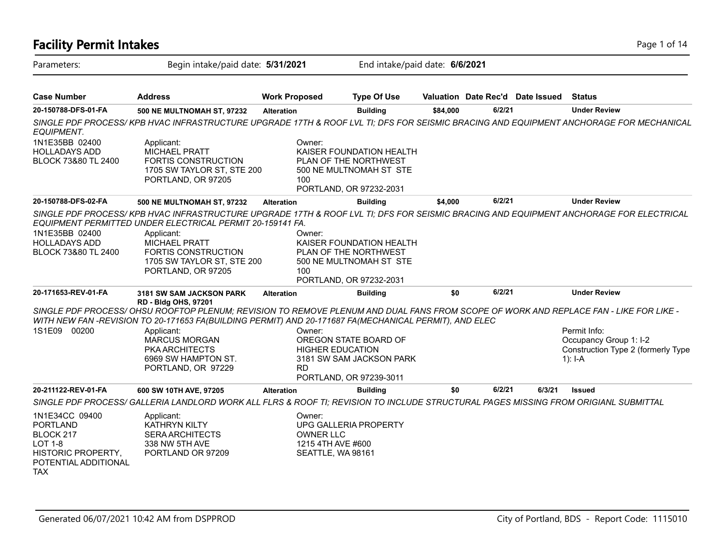| <b>Facility Permit Intakes</b>                                                                                        |                                                                                                                                                                                                                                                                       |                      |                                                               |                                                                                                         |          |        |                                  | Page 1 of 14                                                                                                                          |  |
|-----------------------------------------------------------------------------------------------------------------------|-----------------------------------------------------------------------------------------------------------------------------------------------------------------------------------------------------------------------------------------------------------------------|----------------------|---------------------------------------------------------------|---------------------------------------------------------------------------------------------------------|----------|--------|----------------------------------|---------------------------------------------------------------------------------------------------------------------------------------|--|
| Parameters:                                                                                                           | Begin intake/paid date: 5/31/2021                                                                                                                                                                                                                                     |                      |                                                               | End intake/paid date: 6/6/2021                                                                          |          |        |                                  |                                                                                                                                       |  |
| <b>Case Number</b>                                                                                                    | <b>Address</b>                                                                                                                                                                                                                                                        | <b>Work Proposed</b> |                                                               | <b>Type Of Use</b>                                                                                      |          |        | Valuation Date Rec'd Date Issued | <b>Status</b>                                                                                                                         |  |
| 20-150788-DFS-01-FA                                                                                                   | 500 NE MULTNOMAH ST, 97232                                                                                                                                                                                                                                            | <b>Alteration</b>    |                                                               | <b>Building</b>                                                                                         | \$84,000 | 6/2/21 |                                  | <b>Under Review</b>                                                                                                                   |  |
| EQUIPMENT.                                                                                                            |                                                                                                                                                                                                                                                                       |                      |                                                               |                                                                                                         |          |        |                                  | SINGLE PDF PROCESS/KPB HVAC INFRASTRUCTURE UPGRADE 17TH & ROOF LVL TI; DFS FOR SEISMIC BRACING AND EQUIPMENT ANCHORAGE FOR MECHANICAL |  |
| 1N1E35BB 02400<br><b>HOLLADAYS ADD</b><br>BLOCK 73&80 TL 2400                                                         | Applicant:<br><b>MICHAEL PRATT</b><br><b>FORTIS CONSTRUCTION</b><br>1705 SW TAYLOR ST, STE 200<br>PORTLAND, OR 97205                                                                                                                                                  |                      | Owner:<br>100                                                 | KAISER FOUNDATION HEALTH<br>PLAN OF THE NORTHWEST<br>500 NE MULTNOMAH ST STE<br>PORTLAND, OR 97232-2031 |          |        |                                  |                                                                                                                                       |  |
| 20-150788-DFS-02-FA                                                                                                   | <b>500 NE MULTNOMAH ST, 97232</b>                                                                                                                                                                                                                                     | <b>Alteration</b>    |                                                               | <b>Building</b>                                                                                         | \$4,000  | 6/2/21 |                                  | <b>Under Review</b>                                                                                                                   |  |
| 1N1E35BB 02400<br><b>HOLLADAYS ADD</b><br><b>BLOCK 73&amp;80 TL 2400</b>                                              | EQUIPMENT PERMITTED UNDER ELECTRICAL PERMIT 20-159141 FA.<br>Applicant:<br>MICHAEL PRATT<br><b>FORTIS CONSTRUCTION</b><br>1705 SW TAYLOR ST, STE 200<br>PORTLAND, OR 97205                                                                                            |                      | Owner:<br>100                                                 | KAISER FOUNDATION HEALTH<br>PLAN OF THE NORTHWEST<br>500 NE MULTNOMAH ST STE<br>PORTLAND, OR 97232-2031 |          |        |                                  | SINGLE PDF PROCESS/KPB HVAC INFRASTRUCTURE UPGRADE 17TH & ROOF LVL TI; DFS FOR SEISMIC BRACING AND EQUIPMENT ANCHORAGE FOR ELECTRICAL |  |
| 20-171653-REV-01-FA                                                                                                   | 3181 SW SAM JACKSON PARK                                                                                                                                                                                                                                              | <b>Alteration</b>    |                                                               | <b>Building</b>                                                                                         | \$0      | 6/2/21 |                                  | <b>Under Review</b>                                                                                                                   |  |
|                                                                                                                       | RD - Bldg OHS, 97201<br>SINGLE PDF PROCESS/OHSU ROOFTOP PLENUM; REVISION TO REMOVE PLENUM AND DUAL FANS FROM SCOPE OF WORK AND REPLACE FAN - LIKE FOR LIKE -<br>WITH NEW FAN -REVISION TO 20-171653 FA(BUILDING PERMIT) AND 20-171687 FA(MECHANICAL PERMIT), AND ELEC |                      |                                                               |                                                                                                         |          |        |                                  |                                                                                                                                       |  |
| 1S1E09 00200                                                                                                          | Applicant:<br><b>MARCUS MORGAN</b><br><b>PKA ARCHITECTS</b><br>6969 SW HAMPTON ST.<br>PORTLAND, OR 97229                                                                                                                                                              |                      | Owner:<br><b>HIGHER EDUCATION</b><br><b>RD</b>                | OREGON STATE BOARD OF<br>3181 SW SAM JACKSON PARK<br>PORTLAND, OR 97239-3011                            |          |        |                                  | Permit Info:<br>Occupancy Group 1: I-2<br>Construction Type 2 (formerly Type<br>$1$ : I-A                                             |  |
| 20-211122-REV-01-FA                                                                                                   | 600 SW 10TH AVE, 97205                                                                                                                                                                                                                                                | <b>Alteration</b>    |                                                               | <b>Building</b>                                                                                         | \$0      | 6/2/21 | 6/3/21                           | <b>Issued</b>                                                                                                                         |  |
|                                                                                                                       | SINGLE PDF PROCESS/ GALLERIA LANDLORD WORK ALL FLRS & ROOF TI; REVISION TO INCLUDE STRUCTURAL PAGES MISSING FROM ORIGIANL SUBMITTAL                                                                                                                                   |                      |                                                               |                                                                                                         |          |        |                                  |                                                                                                                                       |  |
| 1N1E34CC 09400<br><b>PORTLAND</b><br>BLOCK 217<br>LOT 1-8<br>HISTORIC PROPERTY,<br>POTENTIAL ADDITIONAL<br><b>TAX</b> | Applicant:<br><b>KATHRYN KILTY</b><br><b>SERA ARCHITECTS</b><br>338 NW 5TH AVE<br>PORTLAND OR 97209                                                                                                                                                                   |                      | Owner:<br>OWNER LLC<br>1215 4TH AVE #600<br>SEATTLE, WA 98161 | UPG GALLERIA PROPERTY                                                                                   |          |        |                                  |                                                                                                                                       |  |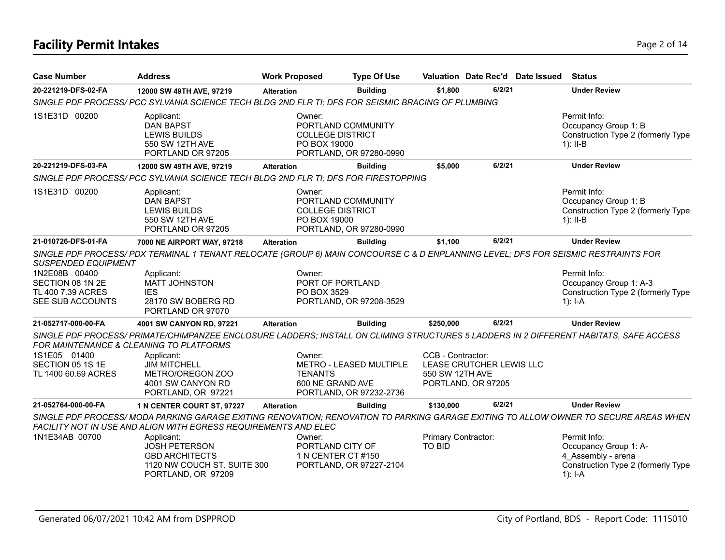## **Facility Permit Intakes** Page 2 of 14

| <b>Case Number</b>                                                         | <b>Address</b>                                                                                                                                                                    | <b>Work Proposed</b>     | <b>Type Of Use</b>                                                                       |                                      |                                                | Valuation Date Rec'd Date Issued | <b>Status</b>                                                                                                                       |
|----------------------------------------------------------------------------|-----------------------------------------------------------------------------------------------------------------------------------------------------------------------------------|--------------------------|------------------------------------------------------------------------------------------|--------------------------------------|------------------------------------------------|----------------------------------|-------------------------------------------------------------------------------------------------------------------------------------|
| 20-221219-DFS-02-FA                                                        | 12000 SW 49TH AVE, 97219                                                                                                                                                          | <b>Alteration</b>        | <b>Building</b>                                                                          | \$1,800                              | 6/2/21                                         |                                  | <b>Under Review</b>                                                                                                                 |
|                                                                            | SINGLE PDF PROCESS/ PCC SYLVANIA SCIENCE TECH BLDG 2ND FLR TI; DFS FOR SEISMIC BRACING OF PLUMBING                                                                                |                          |                                                                                          |                                      |                                                |                                  |                                                                                                                                     |
| 1S1E31D 00200                                                              | Applicant:<br><b>DAN BAPST</b><br><b>LEWIS BUILDS</b><br>550 SW 12TH AVE<br>PORTLAND OR 97205                                                                                     | Owner:                   | PORTLAND COMMUNITY<br><b>COLLEGE DISTRICT</b><br>PO BOX 19000<br>PORTLAND, OR 97280-0990 |                                      |                                                |                                  | Permit Info:<br>Occupancy Group 1: B<br>Construction Type 2 (formerly Type<br>$1$ : II-B                                            |
| 20-221219-DFS-03-FA                                                        | 12000 SW 49TH AVE, 97219                                                                                                                                                          | <b>Alteration</b>        | <b>Building</b>                                                                          | \$5,000                              | 6/2/21                                         |                                  | <b>Under Review</b>                                                                                                                 |
|                                                                            | SINGLE PDF PROCESS/ PCC SYLVANIA SCIENCE TECH BLDG 2ND FLR TI; DFS FOR FIRESTOPPING                                                                                               |                          |                                                                                          |                                      |                                                |                                  |                                                                                                                                     |
| 1S1E31D 00200                                                              | Applicant:<br><b>DAN BAPST</b><br><b>LEWIS BUILDS</b><br>550 SW 12TH AVE<br>PORTLAND OR 97205                                                                                     | Owner:                   | PORTLAND COMMUNITY<br><b>COLLEGE DISTRICT</b><br>PO BOX 19000<br>PORTLAND, OR 97280-0990 |                                      |                                                |                                  | Permit Info:<br>Occupancy Group 1: B<br>Construction Type 2 (formerly Type<br>$1$ : II-B                                            |
| 21-010726-DFS-01-FA                                                        | 7000 NE AIRPORT WAY, 97218                                                                                                                                                        | <b>Alteration</b>        | <b>Building</b>                                                                          | \$1.100                              | 6/2/21                                         |                                  | <b>Under Review</b>                                                                                                                 |
| SUSPENDED EQUIPMENT                                                        | SINGLE PDF PROCESS/PDX TERMINAL 1 TENANT RELOCATE (GROUP 6) MAIN CONCOURSE C & D ENPLANNING LEVEL; DFS FOR SEISMIC RESTRAINTS FOR                                                 |                          |                                                                                          |                                      |                                                |                                  |                                                                                                                                     |
| 1N2E08B 00400<br>SECTION 08 1N 2E<br>TL 400 7.39 ACRES<br>SEE SUB ACCOUNTS | Applicant:<br>MATT JOHNSTON<br><b>IES</b><br>28170 SW BOBERG RD<br>PORTLAND OR 97070                                                                                              | Owner:<br>PO BOX 3529    | PORT OF PORTLAND<br>PORTLAND, OR 97208-3529                                              |                                      |                                                |                                  | Permit Info:<br>Occupancy Group 1: A-3<br>Construction Type 2 (formerly Type<br>$1$ : I-A                                           |
| 21-052717-000-00-FA                                                        | 4001 SW CANYON RD, 97221                                                                                                                                                          | <b>Alteration</b>        | <b>Building</b>                                                                          | \$250,000                            | 6/2/21                                         |                                  | <b>Under Review</b>                                                                                                                 |
|                                                                            | SINGLE PDF PROCESS/ PRIMATE/CHIMPANZEE ENCLOSURE LADDERS; INSTALL ON CLIMING STRUCTURES 5 LADDERS IN 2 DIFFERENT HABITATS, SAFE ACCESS<br>FOR MAINTENANCE & CLEANING TO PLATFORMS |                          |                                                                                          |                                      |                                                |                                  |                                                                                                                                     |
| 1S1E05 01400<br>SECTION 05 1S 1E<br>TL 1400 60.69 ACRES                    | Applicant:<br><b>JIM MITCHELL</b><br>METRO/OREGON ZOO<br>4001 SW CANYON RD<br>PORTLAND, OR 97221                                                                                  | Owner:<br><b>TENANTS</b> | METRO - LEASED MULTIPLE<br>600 NE GRAND AVE<br>PORTLAND, OR 97232-2736                   | CCB - Contractor:<br>550 SW 12TH AVE | LEASE CRUTCHER LEWIS LLC<br>PORTLAND, OR 97205 |                                  |                                                                                                                                     |
| 21-052764-000-00-FA                                                        | 1 N CENTER COURT ST, 97227                                                                                                                                                        | <b>Alteration</b>        | <b>Building</b>                                                                          | \$130,000                            | 6/2/21                                         |                                  | <b>Under Review</b>                                                                                                                 |
|                                                                            | FACILITY NOT IN USE AND ALIGN WITH EGRESS REQUIREMENTS AND ELEC                                                                                                                   |                          |                                                                                          |                                      |                                                |                                  | SINGLE PDF PROCESS/MODA PARKING GARAGE EXITING RENOVATION; RENOVATION TO PARKING GARAGE EXITING TO ALLOW OWNER TO SECURE AREAS WHEN |
| 1N1E34AB 00700                                                             | Applicant:<br><b>JOSH PETERSON</b><br><b>GBD ARCHITECTS</b><br>1120 NW COUCH ST. SUITE 300<br>PORTLAND, OR 97209                                                                  | Owner:                   | PORTLAND CITY OF<br>1 N CENTER CT #150<br>PORTLAND, OR 97227-2104                        | Primary Contractor:<br><b>TO BID</b> |                                                |                                  | Permit Info:<br>Occupancy Group 1: A-<br>4 Assembly - arena<br>Construction Type 2 (formerly Type<br>$1$ : I-A                      |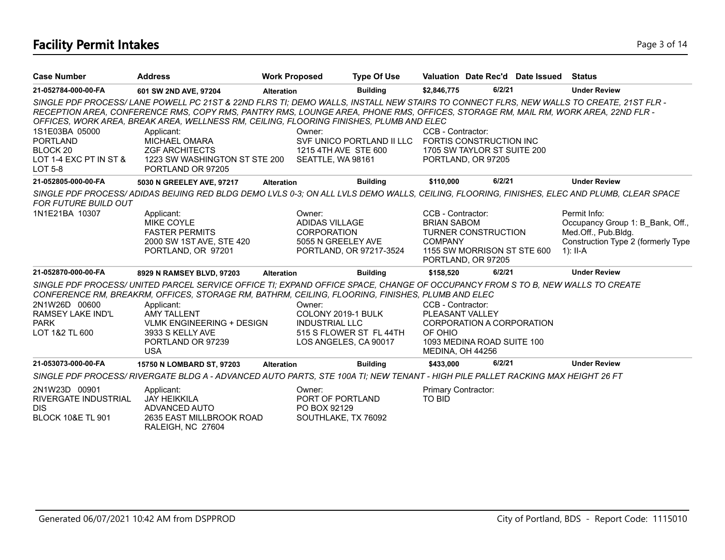## **Facility Permit Intakes** Page 3 of 14

| <b>Case Number</b>                                                                        | <b>Address</b>                                                                                                                                                                                                                                                                                                                                                         | <b>Work Proposed</b>                                                           | <b>Type Of Use</b>        |                                                                                                                                              |        | Valuation Date Rec'd Date Issued Status |                                                                                                                             |
|-------------------------------------------------------------------------------------------|------------------------------------------------------------------------------------------------------------------------------------------------------------------------------------------------------------------------------------------------------------------------------------------------------------------------------------------------------------------------|--------------------------------------------------------------------------------|---------------------------|----------------------------------------------------------------------------------------------------------------------------------------------|--------|-----------------------------------------|-----------------------------------------------------------------------------------------------------------------------------|
| 21-052784-000-00-FA                                                                       | 601 SW 2ND AVE, 97204                                                                                                                                                                                                                                                                                                                                                  | <b>Alteration</b>                                                              | <b>Building</b>           | \$2,846,775                                                                                                                                  | 6/2/21 |                                         | <b>Under Review</b>                                                                                                         |
|                                                                                           | SINGLE PDF PROCESS/LANE POWELL PC 21ST & 22ND FLRS TI; DEMO WALLS, INSTALL NEW STAIRS TO CONNECT FLRS, NEW WALLS TO CREATE, 21ST FLR -<br>RECEPTION AREA, CONFERENCE RMS, COPY RMS, PANTRY RMS, LOUNGE AREA, PHONE RMS, OFFICES, STORAGE RM, MAIL RM, WORK AREA, 22ND FLR -<br>OFFICES, WORK AREA, BREAK AREA, WELLNESS RM, CEILING, FLOORING FINISHES, PLUMB AND ELEC |                                                                                |                           |                                                                                                                                              |        |                                         |                                                                                                                             |
| 1S1E03BA 05000<br><b>PORTLAND</b><br>BLOCK 20<br>LOT 1-4 EXC PT IN ST &<br><b>LOT 5-8</b> | Applicant:<br>MICHAEL OMARA<br><b>ZGF ARCHITECTS</b><br>1223 SW WASHINGTON ST STE 200<br>PORTLAND OR 97205                                                                                                                                                                                                                                                             | Owner:<br>1215 4TH AVE STE 600<br>SEATTLE, WA 98161                            | SVF UNICO PORTLAND II LLC | CCB - Contractor:<br>FORTIS CONSTRUCTION INC<br>1705 SW TAYLOR ST SUITE 200<br>PORTLAND, OR 97205                                            |        |                                         |                                                                                                                             |
| 21-052805-000-00-FA                                                                       | 5030 N GREELEY AVE, 97217                                                                                                                                                                                                                                                                                                                                              | <b>Alteration</b>                                                              | <b>Building</b>           | \$110,000                                                                                                                                    | 6/2/21 |                                         | <b>Under Review</b>                                                                                                         |
| FOR FUTURE BUILD OUT                                                                      | SINGLE PDF PROCESS/ADIDAS BEIJING RED BLDG DEMO LVLS 0-3; ON ALL LVLS DEMO WALLS, CEILING, FLOORING, FINISHES, ELEC AND PLUMB, CLEAR SPACE                                                                                                                                                                                                                             |                                                                                |                           |                                                                                                                                              |        |                                         |                                                                                                                             |
| 1N1E21BA 10307                                                                            | Applicant:<br><b>MIKE COYLE</b><br><b>FASTER PERMITS</b><br>2000 SW 1ST AVE, STE 420<br>PORTLAND, OR 97201                                                                                                                                                                                                                                                             | Owner:<br><b>ADIDAS VILLAGE</b><br><b>CORPORATION</b><br>5055 N GREELEY AVE    | PORTLAND, OR 97217-3524   | CCB - Contractor:<br><b>BRIAN SABOM</b><br><b>TURNER CONSTRUCTION</b><br><b>COMPANY</b><br>1155 SW MORRISON ST STE 600<br>PORTLAND, OR 97205 |        |                                         | Permit Info:<br>Occupancy Group 1: B Bank, Off.,<br>Med.Off., Pub.Bldg.<br>Construction Type 2 (formerly Type<br>$1$ : II-A |
| 21-052870-000-00-FA                                                                       | 8929 N RAMSEY BLVD, 97203                                                                                                                                                                                                                                                                                                                                              | <b>Alteration</b>                                                              | <b>Building</b>           | \$158.520                                                                                                                                    | 6/2/21 |                                         | <b>Under Review</b>                                                                                                         |
|                                                                                           | SINGLE PDF PROCESS/UNITED PARCEL SERVICE OFFICE TI; EXPAND OFFICE SPACE, CHANGE OF OCCUPANCY FROM S TO B, NEW WALLS TO CREATE<br>CONFERENCE RM, BREAKRM, OFFICES, STORAGE RM, BATHRM, CEILING, FLOORING, FINISHES, PLUMB AND ELEC                                                                                                                                      |                                                                                |                           |                                                                                                                                              |        |                                         |                                                                                                                             |
| 2N1W26D 00600<br>RAMSEY LAKE IND'L<br><b>PARK</b><br>LOT 1&2 TL 600                       | Applicant:<br><b>AMY TALLENT</b><br><b>VLMK ENGINEERING + DESIGN</b><br>3933 S KELLY AVE<br>PORTLAND OR 97239<br><b>USA</b>                                                                                                                                                                                                                                            | Owner:<br>COLONY 2019-1 BULK<br><b>INDUSTRIAL LLC</b><br>LOS ANGELES, CA 90017 | 515 S FLOWER ST FL 44TH   | CCB - Contractor:<br><b>PLEASANT VALLEY</b><br>CORPORATION A CORPORATION<br>OF OHIO<br>1093 MEDINA ROAD SUITE 100<br>MEDINA, OH 44256        |        |                                         |                                                                                                                             |
| 21-053073-000-00-FA                                                                       | 15750 N LOMBARD ST, 97203                                                                                                                                                                                                                                                                                                                                              | <b>Alteration</b>                                                              | <b>Building</b>           | \$433,000                                                                                                                                    | 6/2/21 |                                         | <b>Under Review</b>                                                                                                         |
|                                                                                           | SINGLE PDF PROCESS/RIVERGATE BLDG A - ADVANCED AUTO PARTS, STE 100A TI; NEW TENANT - HIGH PILE PALLET RACKING MAX HEIGHT 26 FT                                                                                                                                                                                                                                         |                                                                                |                           |                                                                                                                                              |        |                                         |                                                                                                                             |
| 2N1W23D 00901<br>RIVERGATE INDUSTRIAL<br><b>DIS</b><br><b>BLOCK 10&amp;E TL 901</b>       | Applicant:<br><b>JAY HEIKKILA</b><br>ADVANCED AUTO<br>2635 EAST MILLBROOK ROAD<br>RALEIGH, NC 27604                                                                                                                                                                                                                                                                    | Owner:<br>PORT OF PORTLAND<br>PO BOX 92129<br>SOUTHLAKE, TX 76092              |                           | Primary Contractor:<br><b>TO BID</b>                                                                                                         |        |                                         |                                                                                                                             |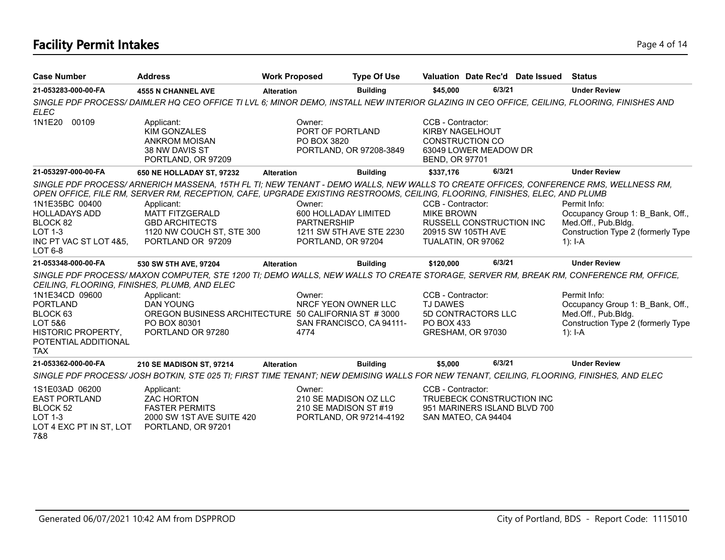## **Facility Permit Intakes** Page 4 of 14

| <b>Case Number</b>                                                                                                          | <b>Address</b>                                                                                                                                                                                                                                                                                                                                                                       | <b>Work Proposed</b> |                                                                            | <b>Type Of Use</b>       |                                                                      |                                                                                  | Valuation Date Rec'd Date Issued | Status                                                                                                                       |
|-----------------------------------------------------------------------------------------------------------------------------|--------------------------------------------------------------------------------------------------------------------------------------------------------------------------------------------------------------------------------------------------------------------------------------------------------------------------------------------------------------------------------------|----------------------|----------------------------------------------------------------------------|--------------------------|----------------------------------------------------------------------|----------------------------------------------------------------------------------|----------------------------------|------------------------------------------------------------------------------------------------------------------------------|
| 21-053283-000-00-FA                                                                                                         | <b>4555 N CHANNEL AVE</b>                                                                                                                                                                                                                                                                                                                                                            | <b>Alteration</b>    |                                                                            | <b>Building</b>          | \$45,000                                                             | 6/3/21                                                                           |                                  | <b>Under Review</b>                                                                                                          |
| <b>ELEC</b>                                                                                                                 | SINGLE PDF PROCESS/DAIMLER HQ CEO OFFICE TI LVL 6; MINOR DEMO, INSTALL NEW INTERIOR GLAZING IN CEO OFFICE, CEILING, FLOORING, FINISHES AND                                                                                                                                                                                                                                           |                      |                                                                            |                          |                                                                      |                                                                                  |                                  |                                                                                                                              |
| 1N1E20<br>00109                                                                                                             | Applicant:<br><b>KIM GONZALES</b><br><b>ANKROM MOISAN</b><br>38 NW DAVIS ST<br>PORTLAND, OR 97209                                                                                                                                                                                                                                                                                    |                      | Owner:<br>PORT OF PORTLAND<br>PO BOX 3820                                  | PORTLAND, OR 97208-3849  | CCB - Contractor:<br><b>KIRBY NAGELHOUT</b><br><b>BEND, OR 97701</b> | <b>CONSTRUCTION CO</b><br>63049 LOWER MEADOW DR                                  |                                  |                                                                                                                              |
| 21-053297-000-00-FA                                                                                                         | 650 NE HOLLADAY ST, 97232                                                                                                                                                                                                                                                                                                                                                            | <b>Alteration</b>    |                                                                            | <b>Building</b>          | \$337,176                                                            | 6/3/21                                                                           |                                  | <b>Under Review</b>                                                                                                          |
| 1N1E35BC 00400<br><b>HOLLADAYS ADD</b><br>BLOCK 82<br><b>LOT 1-3</b><br>INC PT VAC ST LOT 4&5,<br>LOT 6-8                   | SINGLE PDF PROCESS/ARNERICH MASSENA, 15TH FL TI; NEW TENANT - DEMO WALLS, NEW WALLS TO CREATE OFFICES, CONFERENCE RMS, WELLNESS RM,<br>OPEN OFFICE, FILE RM, SERVER RM, RECEPTION, CAFE, UPGRADE EXISTING RESTROOMS, CEILING, FLOORING, FINISHES, ELEC, AND PLUMB<br>Applicant:<br><b>MATT FITZGERALD</b><br><b>GBD ARCHITECTS</b><br>1120 NW COUCH ST, STE 300<br>PORTLAND OR 97209 |                      | Owner:<br>600 HOLLADAY LIMITED<br><b>PARTNERSHIP</b><br>PORTLAND, OR 97204 | 1211 SW 5TH AVE STE 2230 | CCB - Contractor:<br><b>MIKE BROWN</b>                               | <b>RUSSELL CONSTRUCTION INC</b><br>20915 SW 105TH AVE<br>TUALATIN, OR 97062      |                                  | Permit Info:<br>Occupancy Group 1: B Bank, Off.,<br>Med.Off., Pub.Bldg.<br>Construction Type 2 (formerly Type<br>1): $I - A$ |
| 21-053348-000-00-FA                                                                                                         | 530 SW 5TH AVE, 97204                                                                                                                                                                                                                                                                                                                                                                | <b>Alteration</b>    |                                                                            | <b>Building</b>          | \$120,000                                                            | 6/3/21                                                                           |                                  | <b>Under Review</b>                                                                                                          |
|                                                                                                                             | SINGLE PDF PROCESS/ MAXON COMPUTER, STE 1200 TI; DEMO WALLS, NEW WALLS TO CREATE STORAGE, SERVER RM, BREAK RM, CONFERENCE RM, OFFICE,<br>CEILING, FLOORING, FINISHES, PLUMB, AND ELEC                                                                                                                                                                                                |                      |                                                                            |                          |                                                                      |                                                                                  |                                  |                                                                                                                              |
| 1N1E34CD 09600<br><b>PORTLAND</b><br>BLOCK 63<br>LOT 5&6<br><b>HISTORIC PROPERTY,</b><br>POTENTIAL ADDITIONAL<br><b>TAX</b> | Applicant:<br><b>DAN YOUNG</b><br>OREGON BUSINESS ARCHITECTURE 50 CALIFORNIA ST #3000<br>PO BOX 80301<br>PORTLAND OR 97280                                                                                                                                                                                                                                                           |                      | Owner:<br>NRCF YEON OWNER LLC<br>4774                                      | SAN FRANCISCO, CA 94111- | CCB - Contractor:<br><b>TJ DAWES</b><br>PO BOX 433                   | 5D CONTRACTORS LLC<br>GRESHAM, OR 97030                                          |                                  | Permit Info:<br>Occupancy Group 1: B Bank, Off.,<br>Med.Off., Pub.Bldg.<br>Construction Type 2 (formerly Type<br>1): $I-A$   |
| 21-053362-000-00-FA                                                                                                         | 210 SE MADISON ST, 97214                                                                                                                                                                                                                                                                                                                                                             | <b>Alteration</b>    |                                                                            | <b>Building</b>          | \$5,000                                                              | 6/3/21                                                                           |                                  | <b>Under Review</b>                                                                                                          |
|                                                                                                                             | SINGLE PDF PROCESS/JOSH BOTKIN, STE 025 TI; FIRST TIME TENANT; NEW DEMISING WALLS FOR NEW TENANT, CEILING, FLOORING, FINISHES, AND ELEC                                                                                                                                                                                                                                              |                      |                                                                            |                          |                                                                      |                                                                                  |                                  |                                                                                                                              |
| 1S1E03AD 06200<br><b>EAST PORTLAND</b><br>BLOCK 52<br><b>LOT 1-3</b><br>LOT 4 EXC PT IN ST, LOT<br>7&8                      | Applicant:<br><b>ZAC HORTON</b><br><b>FASTER PERMITS</b><br>2000 SW 1ST AVE SUITE 420<br>PORTLAND, OR 97201                                                                                                                                                                                                                                                                          |                      | Owner:<br>210 SE MADISON OZ LLC<br>210 SE MADISON ST#19                    | PORTLAND, OR 97214-4192  | CCB - Contractor:                                                    | TRUEBECK CONSTRUCTION INC<br>951 MARINERS ISLAND BLVD 700<br>SAN MATEO, CA 94404 |                                  |                                                                                                                              |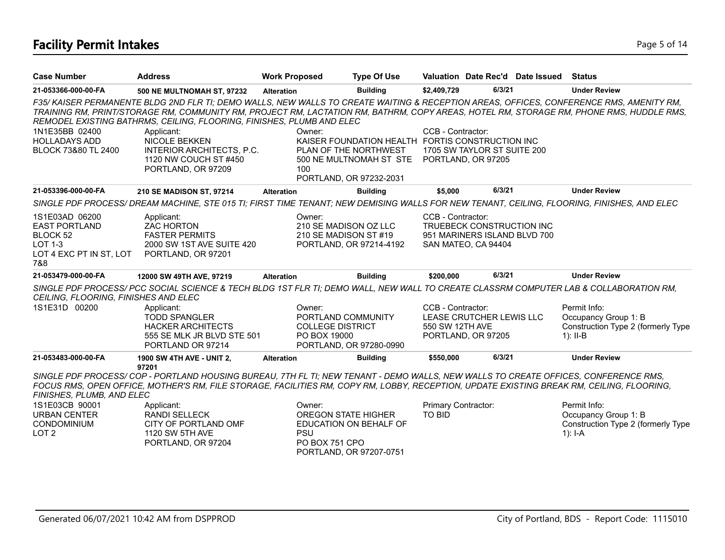## **Facility Permit Intakes** Page 5 of 14

| <b>Case Number</b>                                                                                     | <b>Address</b>                                                                                                                                                                                                                                                                                                                                                                                   | <b>Work Proposed</b> | <b>Type Of Use</b>                                                                                |                                      |                                                                                  | Valuation Date Rec'd Date Issued | <b>Status</b>                                                                            |
|--------------------------------------------------------------------------------------------------------|--------------------------------------------------------------------------------------------------------------------------------------------------------------------------------------------------------------------------------------------------------------------------------------------------------------------------------------------------------------------------------------------------|----------------------|---------------------------------------------------------------------------------------------------|--------------------------------------|----------------------------------------------------------------------------------|----------------------------------|------------------------------------------------------------------------------------------|
| 21-053366-000-00-FA                                                                                    | <b>500 NE MULTNOMAH ST, 97232</b>                                                                                                                                                                                                                                                                                                                                                                | <b>Alteration</b>    | <b>Building</b>                                                                                   | \$2,409,729                          | 6/3/21                                                                           |                                  | <b>Under Review</b>                                                                      |
| 1N1E35BB 02400<br><b>HOLLADAYS ADD</b>                                                                 | F35/KAISER PERMANENTE BLDG 2ND FLR TI; DEMO WALLS, NEW WALLS TO CREATE WAITING & RECEPTION AREAS, OFFICES, CONFERENCE RMS, AMENITY RM,<br>TRAINING RM, PRINT/STORAGE RM, COMMUNITY RM, PROJECT RM, LACTATION RM, BATHRM, COPY AREAS, HOTEL RM, STORAGE RM, PHONE RMS, HUDDLE RMS,<br>REMODEL EXISTING BATHRMS, CEILING, FLOORING, FINISHES, PLUMB AND ELEC<br>Applicant:<br><b>NICOLE BEKKEN</b> | Owner:               | KAISER FOUNDATION HEALTH FORTIS CONSTRUCTION INC                                                  | CCB - Contractor:                    |                                                                                  |                                  |                                                                                          |
| BLOCK 73&80 TL 2400                                                                                    | INTERIOR ARCHITECTS, P.C.<br>1120 NW COUCH ST #450<br>PORTLAND, OR 97209                                                                                                                                                                                                                                                                                                                         | 100                  | PLAN OF THE NORTHWEST<br>500 NE MULTNOMAH ST STE<br>PORTLAND, OR 97232-2031                       |                                      | 1705 SW TAYLOR ST SUITE 200<br>PORTLAND, OR 97205                                |                                  |                                                                                          |
| 21-053396-000-00-FA                                                                                    | 210 SE MADISON ST, 97214                                                                                                                                                                                                                                                                                                                                                                         | <b>Alteration</b>    | <b>Building</b>                                                                                   | \$5.000                              | 6/3/21                                                                           |                                  | <b>Under Review</b>                                                                      |
|                                                                                                        | SINGLE PDF PROCESS/DREAM MACHINE, STE 015 TI; FIRST TIME TENANT; NEW DEMISING WALLS FOR NEW TENANT, CEILING, FLOORING, FINISHES, AND ELEC                                                                                                                                                                                                                                                        |                      |                                                                                                   |                                      |                                                                                  |                                  |                                                                                          |
| 1S1E03AD 06200<br><b>EAST PORTLAND</b><br>BLOCK 52<br><b>LOT 1-3</b><br>LOT 4 EXC PT IN ST, LOT<br>7&8 | Applicant:<br><b>ZAC HORTON</b><br><b>FASTER PERMITS</b><br>2000 SW 1ST AVE SUITE 420<br>PORTLAND, OR 97201                                                                                                                                                                                                                                                                                      | Owner:               | 210 SE MADISON OZ LLC<br>210 SE MADISON ST #19<br>PORTLAND, OR 97214-4192                         | CCB - Contractor:                    | TRUEBECK CONSTRUCTION INC<br>951 MARINERS ISLAND BLVD 700<br>SAN MATEO, CA 94404 |                                  |                                                                                          |
| 21-053479-000-00-FA                                                                                    | 12000 SW 49TH AVE, 97219                                                                                                                                                                                                                                                                                                                                                                         | <b>Alteration</b>    | <b>Building</b>                                                                                   | \$200,000                            | 6/3/21                                                                           |                                  | <b>Under Review</b>                                                                      |
| CEILING, FLOORING, FINISHES AND ELEC                                                                   | SINGLE PDF PROCESS/ PCC SOCIAL SCIENCE & TECH BLDG 1ST FLR TI; DEMO WALL, NEW WALL TO CREATE CLASSRM COMPUTER LAB & COLLABORATION RM,                                                                                                                                                                                                                                                            |                      |                                                                                                   |                                      |                                                                                  |                                  |                                                                                          |
| 1S1E31D 00200                                                                                          | Applicant:<br><b>TODD SPANGLER</b><br><b>HACKER ARCHITECTS</b><br>555 SE MLK JR BLVD STE 501<br>PORTLAND OR 97214                                                                                                                                                                                                                                                                                | Owner:               | PORTLAND COMMUNITY<br><b>COLLEGE DISTRICT</b><br>PO BOX 19000<br>PORTLAND, OR 97280-0990          | CCB - Contractor:<br>550 SW 12TH AVE | LEASE CRUTCHER LEWIS LLC<br>PORTLAND, OR 97205                                   |                                  | Permit Info:<br>Occupancy Group 1: B<br>Construction Type 2 (formerly Type<br>$1$ : II-B |
| 21-053483-000-00-FA                                                                                    | 1900 SW 4TH AVE - UNIT 2,<br>97201                                                                                                                                                                                                                                                                                                                                                               | <b>Alteration</b>    | <b>Building</b>                                                                                   | \$550,000                            | 6/3/21                                                                           |                                  | <b>Under Review</b>                                                                      |
| FINISHES, PLUMB, AND ELEC                                                                              | SINGLE PDF PROCESS/COP - PORTLAND HOUSING BUREAU, 7TH FL TI; NEW TENANT - DEMO WALLS, NEW WALLS TO CREATE OFFICES, CONFERENCE RMS,<br>FOCUS RMS, OPEN OFFICE, MOTHER'S RM, FILE STORAGE, FACILITIES RM, COPY RM, LOBBY, RECEPTION, UPDATE EXISTING BREAK RM, CEILING, FLOORING,                                                                                                                  |                      |                                                                                                   |                                      |                                                                                  |                                  |                                                                                          |
| 1S1E03CB 90001<br><b>URBAN CENTER</b><br>CONDOMINIUM<br>LOT <sub>2</sub>                               | Applicant:<br><b>RANDI SELLECK</b><br>CITY OF PORTLAND OMF<br>1120 SW 5TH AVE<br>PORTLAND, OR 97204                                                                                                                                                                                                                                                                                              | Owner:<br><b>PSU</b> | <b>OREGON STATE HIGHER</b><br>EDUCATION ON BEHALF OF<br>PO BOX 751 CPO<br>PORTLAND, OR 97207-0751 | Primary Contractor:<br><b>TO BID</b> |                                                                                  |                                  | Permit Info:<br>Occupancy Group 1: B<br>Construction Type 2 (formerly Type<br>$1$ : I-A  |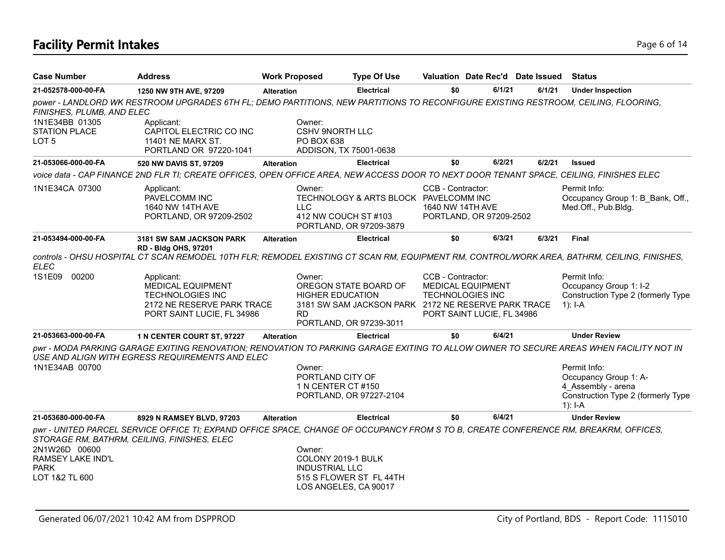## **Facility Permit Intakes** Page 6 of 14

| <b>Case Number</b>                                                  | <b>Address</b>                                                                                                                                                                            | <b>Work Proposed</b> | <b>Type Of Use</b>                                                                                                                 |                                       | Valuation Date Rec'd Date Issued                                                  |        | <b>Status</b>                                                                                                  |
|---------------------------------------------------------------------|-------------------------------------------------------------------------------------------------------------------------------------------------------------------------------------------|----------------------|------------------------------------------------------------------------------------------------------------------------------------|---------------------------------------|-----------------------------------------------------------------------------------|--------|----------------------------------------------------------------------------------------------------------------|
| 21-052578-000-00-FA                                                 | 1250 NW 9TH AVE, 97209                                                                                                                                                                    | <b>Alteration</b>    | <b>Electrical</b>                                                                                                                  | \$0                                   | 6/1/21                                                                            | 6/1/21 | <b>Under Inspection</b>                                                                                        |
| FINISHES, PLUMB, AND ELEC                                           | power - LANDLORD WK RESTROOM UPGRADES 6TH FL; DEMO PARTITIONS, NEW PARTITIONS TO RECONFIGURE EXISTING RESTROOM, CEILING, FLOORING,                                                        |                      |                                                                                                                                    |                                       |                                                                                   |        |                                                                                                                |
| 1N1E34BB 01305<br>STATION PLACE<br>LOT <sub>5</sub>                 | Applicant:<br>CAPITOL ELECTRIC CO INC<br>11401 NE MARX ST.<br>PORTLAND OR 97220-1041                                                                                                      | Owner:               | <b>CSHV 9NORTH LLC</b><br>PO BOX 638<br>ADDISON, TX 75001-0638                                                                     |                                       |                                                                                   |        |                                                                                                                |
| 21-053066-000-00-FA                                                 | 520 NW DAVIS ST, 97209                                                                                                                                                                    | <b>Alteration</b>    | <b>Electrical</b>                                                                                                                  | \$0                                   | 6/2/21                                                                            | 6/2/21 | <b>Issued</b>                                                                                                  |
|                                                                     | voice data - CAP FINANCE 2ND FLR TI; CREATE OFFICES, OPEN OFFICE AREA, NEW ACCESS DOOR TO NEXT DOOR TENANT SPACE, CEILING, FINISHES ELEC                                                  |                      |                                                                                                                                    |                                       |                                                                                   |        |                                                                                                                |
| 1N1E34CA 07300                                                      | Applicant:<br>PAVELCOMM INC<br>1640 NW 14TH AVE<br>PORTLAND, OR 97209-2502                                                                                                                | Owner:<br>LLC.       | TECHNOLOGY & ARTS BLOCK PAVELCOMM INC<br>412 NW COUCH ST #103<br>PORTLAND, OR 97209-3879                                           | CCB - Contractor:<br>1640 NW 14TH AVE | PORTLAND, OR 97209-2502                                                           |        | Permit Info:<br>Occupancy Group 1: B Bank, Off.,<br>Med.Off., Pub.Bldg.                                        |
| 21-053494-000-00-FA                                                 | <b>3181 SW SAM JACKSON PARK</b>                                                                                                                                                           | <b>Alteration</b>    | <b>Electrical</b>                                                                                                                  | \$0                                   | 6/3/21                                                                            | 6/3/21 | <b>Final</b>                                                                                                   |
| <b>ELEC</b>                                                         | <b>RD - Bldg OHS, 97201</b><br>controls - OHSU HOSPITAL CT SCAN REMODEL 10TH FLR; REMODEL EXISTING CT SCAN RM, EQUIPMENT RM, CONTROL/WORK AREA, BATHRM, CEILING, FINISHES,                |                      |                                                                                                                                    |                                       |                                                                                   |        |                                                                                                                |
| 1S1E09<br>00200                                                     | Applicant:<br><b>MEDICAL EQUIPMENT</b><br><b>TECHNOLOGIES INC</b><br>2172 NE RESERVE PARK TRACE<br>PORT SAINT LUCIE, FL 34986                                                             | Owner:<br><b>RD</b>  | OREGON STATE BOARD OF<br><b>HIGHER EDUCATION</b><br>3181 SW SAM JACKSON PARK 2172 NE RESERVE PARK TRACE<br>PORTLAND, OR 97239-3011 | CCB - Contractor:                     | <b>MEDICAL EQUIPMENT</b><br><b>TECHNOLOGIES INC</b><br>PORT SAINT LUCIE, FL 34986 |        | Permit Info:<br>Occupancy Group 1: I-2<br>Construction Type 2 (formerly Type<br>1): $I - A$                    |
| 21-053663-000-00-FA                                                 | 1 N CENTER COURT ST, 97227                                                                                                                                                                | <b>Alteration</b>    | <b>Electrical</b>                                                                                                                  | \$0                                   | 6/4/21                                                                            |        | <b>Under Review</b>                                                                                            |
|                                                                     | pwr - MODA PARKING GARAGE EXITING RENOVATION; RENOVATION TO PARKING GARAGE EXITING TO ALLOW OWNER TO SECURE AREAS WHEN FACILITY NOT IN<br>USE AND ALIGN WITH EGRESS REQUIREMENTS AND ELEC |                      |                                                                                                                                    |                                       |                                                                                   |        |                                                                                                                |
| 1N1E34AB 00700                                                      |                                                                                                                                                                                           | Owner:               | PORTLAND CITY OF<br>1 N CENTER CT #150<br>PORTLAND, OR 97227-2104                                                                  |                                       |                                                                                   |        | Permit Info:<br>Occupancy Group 1: A-<br>4 Assembly - arena<br>Construction Type 2 (formerly Type<br>$1$ : I-A |
| 21-053680-000-00-FA                                                 | 8929 N RAMSEY BLVD, 97203                                                                                                                                                                 | <b>Alteration</b>    | <b>Electrical</b>                                                                                                                  | \$0                                   | 6/4/21                                                                            |        | <b>Under Review</b>                                                                                            |
| 2N1W26D 00600<br>RAMSEY LAKE IND'L<br><b>PARK</b><br>LOT 1&2 TL 600 | pwr - UNITED PARCEL SERVICE OFFICE TI; EXPAND OFFICE SPACE, CHANGE OF OCCUPANCY FROM S TO B, CREATE CONFERENCE RM, BREAKRM, OFFICES,<br>STORAGE RM, BATHRM, CEILING, FINISHES, ELEC       | Owner:               | COLONY 2019-1 BULK<br><b>INDUSTRIAL LLC</b><br>515 S FLOWER ST FL 44TH                                                             |                                       |                                                                                   |        |                                                                                                                |
|                                                                     |                                                                                                                                                                                           |                      | LOS ANGELES, CA 90017                                                                                                              |                                       |                                                                                   |        |                                                                                                                |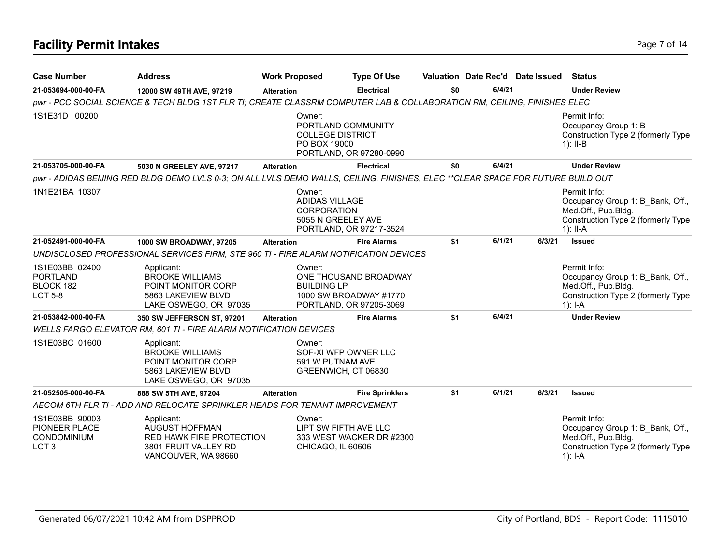## **Facility Permit Intakes** Page 7 of 14

| <b>Case Number</b>                                                        | <b>Address</b>                                                                                                                  | <b>Work Proposed</b> | <b>Type Of Use</b>                                                                               |     |        | Valuation Date Rec'd Date Issued | <b>Status</b>                                                                                                               |
|---------------------------------------------------------------------------|---------------------------------------------------------------------------------------------------------------------------------|----------------------|--------------------------------------------------------------------------------------------------|-----|--------|----------------------------------|-----------------------------------------------------------------------------------------------------------------------------|
| 21-053694-000-00-FA                                                       | 12000 SW 49TH AVE, 97219                                                                                                        | <b>Alteration</b>    | <b>Electrical</b>                                                                                | \$0 | 6/4/21 |                                  | <b>Under Review</b>                                                                                                         |
|                                                                           | pwr - PCC SOCIAL SCIENCE & TECH BLDG 1ST FLR TI; CREATE CLASSRM COMPUTER LAB & COLLABORATION RM, CEILING, FINISHES ELEC         |                      |                                                                                                  |     |        |                                  |                                                                                                                             |
| 1S1E31D 00200                                                             |                                                                                                                                 | Owner:               | PORTLAND COMMUNITY<br><b>COLLEGE DISTRICT</b><br>PO BOX 19000<br>PORTLAND, OR 97280-0990         |     |        |                                  | Permit Info:<br>Occupancy Group 1: B<br>Construction Type 2 (formerly Type<br>$1$ : II-B                                    |
| 21-053705-000-00-FA                                                       | 5030 N GREELEY AVE, 97217                                                                                                       | <b>Alteration</b>    | <b>Electrical</b>                                                                                | \$0 | 6/4/21 |                                  | <b>Under Review</b>                                                                                                         |
|                                                                           | pwr - ADIDAS BEIJING RED BLDG DEMO LVLS 0-3; ON ALL LVLS DEMO WALLS, CEILING, FINISHES, ELEC **CLEAR SPACE FOR FUTURE BUILD OUT |                      |                                                                                                  |     |        |                                  |                                                                                                                             |
| 1N1E21BA 10307                                                            |                                                                                                                                 | Owner:               | ADIDAS VILLAGE<br><b>CORPORATION</b><br>5055 N GREELEY AVE<br>PORTLAND, OR 97217-3524            |     |        |                                  | Permit Info:<br>Occupancy Group 1: B_Bank, Off.,<br>Med.Off., Pub.Bldg.<br>Construction Type 2 (formerly Type<br>$1$ : II-A |
| 21-052491-000-00-FA                                                       | 1000 SW BROADWAY, 97205                                                                                                         | <b>Alteration</b>    | <b>Fire Alarms</b>                                                                               | \$1 | 6/1/21 | 6/3/21                           | <b>Issued</b>                                                                                                               |
|                                                                           | UNDISCLOSED PROFESSIONAL SERVICES FIRM, STE 960 TI - FIRE ALARM NOTIFICATION DEVICES                                            |                      |                                                                                                  |     |        |                                  |                                                                                                                             |
| 1S1E03BB 02400<br><b>PORTLAND</b><br>BLOCK 182<br>LOT 5-8                 | Applicant:<br><b>BROOKE WILLIAMS</b><br>POINT MONITOR CORP<br>5863 LAKEVIEW BLVD<br>LAKE OSWEGO, OR 97035                       | Owner:               | ONE THOUSAND BROADWAY<br><b>BUILDING LP</b><br>1000 SW BROADWAY #1770<br>PORTLAND, OR 97205-3069 |     |        |                                  | Permit Info:<br>Occupancy Group 1: B Bank, Off.,<br>Med.Off., Pub.Bldg.<br>Construction Type 2 (formerly Type<br>$1$ : I-A  |
| 21-053842-000-00-FA                                                       | 350 SW JEFFERSON ST, 97201                                                                                                      | <b>Alteration</b>    | <b>Fire Alarms</b>                                                                               | \$1 | 6/4/21 |                                  | <b>Under Review</b>                                                                                                         |
|                                                                           | <b>WELLS FARGO ELEVATOR RM, 601 TI - FIRE ALARM NOTIFICATION DEVICES</b>                                                        |                      |                                                                                                  |     |        |                                  |                                                                                                                             |
| 1S1E03BC 01600                                                            | Applicant:<br><b>BROOKE WILLIAMS</b><br>POINT MONITOR CORP<br>5863 LAKEVIEW BLVD<br>LAKE OSWEGO, OR 97035                       | Owner:               | SOF-XI WFP OWNER LLC<br>591 W PUTNAM AVE<br>GREENWICH, CT 06830                                  |     |        |                                  |                                                                                                                             |
| 21-052505-000-00-FA                                                       | 888 SW 5TH AVE, 97204                                                                                                           | <b>Alteration</b>    | <b>Fire Sprinklers</b>                                                                           | \$1 | 6/1/21 | 6/3/21                           | <b>Issued</b>                                                                                                               |
|                                                                           | AECOM 6TH FLR TI - ADD AND RELOCATE SPRINKLER HEADS FOR TENANT IMPROVEMENT                                                      |                      |                                                                                                  |     |        |                                  |                                                                                                                             |
| 1S1E03BB 90003<br>PIONEER PLACE<br><b>CONDOMINIUM</b><br>LOT <sub>3</sub> | Applicant:<br><b>AUGUST HOFFMAN</b><br><b>RED HAWK FIRE PROTECTION</b><br>3801 FRUIT VALLEY RD<br>VANCOUVER, WA 98660           | Owner:               | LIPT SW FIFTH AVE LLC<br>333 WEST WACKER DR #2300<br>CHICAGO, IL 60606                           |     |        |                                  | Permit Info:<br>Occupancy Group 1: B Bank, Off.,<br>Med.Off., Pub.Bldg.<br>Construction Type 2 (formerly Type<br>$1$ : I-A  |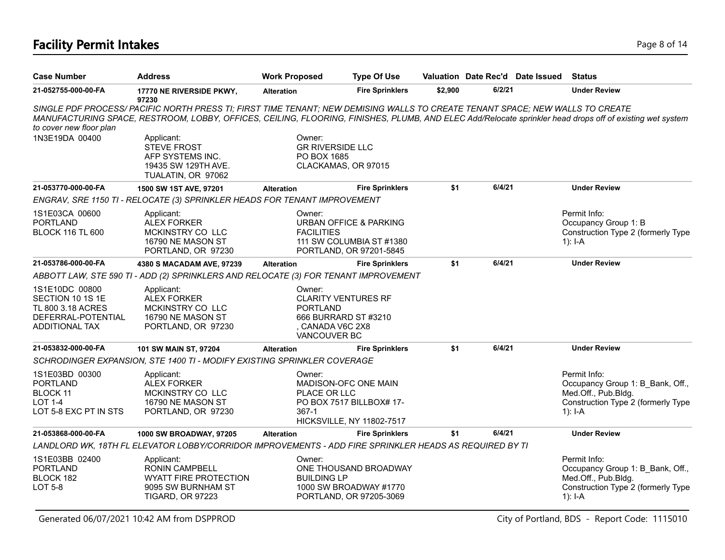## **Facility Permit Intakes** Page 8 of 14

| <b>Case Number</b>                                                                                     | <b>Address</b>                                                                                                                                                                                                                                                                           | <b>Work Proposed</b>                                                                                              | <b>Type Of Use</b>                                                                       |         |        | Valuation Date Rec'd Date Issued | <b>Status</b>                                                                                                                |
|--------------------------------------------------------------------------------------------------------|------------------------------------------------------------------------------------------------------------------------------------------------------------------------------------------------------------------------------------------------------------------------------------------|-------------------------------------------------------------------------------------------------------------------|------------------------------------------------------------------------------------------|---------|--------|----------------------------------|------------------------------------------------------------------------------------------------------------------------------|
| 21-052755-000-00-FA                                                                                    | 17770 NE RIVERSIDE PKWY,<br>97230                                                                                                                                                                                                                                                        | <b>Alteration</b>                                                                                                 | <b>Fire Sprinklers</b>                                                                   | \$2,900 | 6/2/21 |                                  | <b>Under Review</b>                                                                                                          |
| to cover new floor plan                                                                                | SINGLE PDF PROCESS/PACIFIC NORTH PRESS TI; FIRST TIME TENANT; NEW DEMISING WALLS TO CREATE TENANT SPACE; NEW WALLS TO CREATE<br>MANUFACTURING SPACE, RESTROOM, LOBBY, OFFICES, CEILING, FLOORING, FINISHES, PLUMB, AND ELEC Add/Relocate sprinkler head drops off of existing wet system |                                                                                                                   |                                                                                          |         |        |                                  |                                                                                                                              |
| 1N3E19DA 00400                                                                                         | Applicant:<br><b>STEVE FROST</b><br>AFP SYSTEMS INC.<br>19435 SW 129TH AVE.<br>TUALATIN, OR 97062                                                                                                                                                                                        | Owner:<br><b>GR RIVERSIDE LLC</b><br>PO BOX 1685<br>CLACKAMAS, OR 97015                                           |                                                                                          |         |        |                                  |                                                                                                                              |
| 21-053770-000-00-FA                                                                                    | 1500 SW 1ST AVE, 97201                                                                                                                                                                                                                                                                   | Alteration                                                                                                        | <b>Fire Sprinklers</b>                                                                   | \$1     | 6/4/21 |                                  | <b>Under Review</b>                                                                                                          |
|                                                                                                        | ENGRAV, SRE 1150 TI - RELOCATE (3) SPRINKLER HEADS FOR TENANT IMPROVEMENT                                                                                                                                                                                                                |                                                                                                                   |                                                                                          |         |        |                                  |                                                                                                                              |
| 1S1E03CA 00600<br><b>PORTLAND</b><br><b>BLOCK 116 TL 600</b>                                           | Applicant:<br><b>ALEX FORKER</b><br>MCKINSTRY CO LLC<br>16790 NE MASON ST<br>PORTLAND, OR 97230                                                                                                                                                                                          | Owner:<br><b>FACILITIES</b>                                                                                       | <b>URBAN OFFICE &amp; PARKING</b><br>111 SW COLUMBIA ST #1380<br>PORTLAND, OR 97201-5845 |         |        |                                  | Permit Info:<br>Occupancy Group 1: B<br>Construction Type 2 (formerly Type<br>$1$ : I-A                                      |
| 21-053786-000-00-FA                                                                                    | 4380 S MACADAM AVE, 97239                                                                                                                                                                                                                                                                | <b>Alteration</b>                                                                                                 | <b>Fire Sprinklers</b>                                                                   | \$1     | 6/4/21 |                                  | <b>Under Review</b>                                                                                                          |
|                                                                                                        | ABBOTT LAW, STE 590 TI - ADD (2) SPRINKLERS AND RELOCATE (3) FOR TENANT IMPROVEMENT                                                                                                                                                                                                      |                                                                                                                   |                                                                                          |         |        |                                  |                                                                                                                              |
| 1S1E10DC 00800<br>SECTION 10 1S 1E<br>TL 800 3.18 ACRES<br>DEFERRAL-POTENTIAL<br><b>ADDITIONAL TAX</b> | Applicant:<br><b>ALEX FORKER</b><br>MCKINSTRY CO LLC<br>16790 NE MASON ST<br>PORTLAND, OR 97230                                                                                                                                                                                          | Owner:<br><b>CLARITY VENTURES RF</b><br><b>PORTLAND</b><br>666 BURRARD ST #3210<br>CANADA V6C 2X8<br>VANCOUVER BC |                                                                                          |         |        |                                  |                                                                                                                              |
| 21-053832-000-00-FA                                                                                    | 101 SW MAIN ST, 97204                                                                                                                                                                                                                                                                    | <b>Alteration</b>                                                                                                 | <b>Fire Sprinklers</b>                                                                   | \$1     | 6/4/21 |                                  | <b>Under Review</b>                                                                                                          |
|                                                                                                        | SCHRODINGER EXPANSION, STE 1400 TI - MODIFY EXISTING SPRINKLER COVERAGE                                                                                                                                                                                                                  |                                                                                                                   |                                                                                          |         |        |                                  |                                                                                                                              |
| 1S1E03BD 00300<br><b>PORTLAND</b><br>BLOCK 11<br><b>LOT 1-4</b><br>LOT 5-8 EXC PT IN STS               | Applicant:<br><b>ALEX FORKER</b><br>MCKINSTRY CO LLC<br>16790 NE MASON ST<br>PORTLAND, OR 97230                                                                                                                                                                                          | Owner:<br>PLACE OR LLC<br>$367-1$                                                                                 | MADISON-OFC ONE MAIN<br>PO BOX 7517 BILLBOX# 17-<br><b>HICKSVILLE, NY 11802-7517</b>     |         |        |                                  | Permit Info:<br>Occupancy Group 1: B Bank, Off.,<br>Med.Off., Pub.Bldg.<br>Construction Type 2 (formerly Type<br>1): $I - A$ |
| 21-053868-000-00-FA                                                                                    | 1000 SW BROADWAY, 97205                                                                                                                                                                                                                                                                  | <b>Alteration</b>                                                                                                 | <b>Fire Sprinklers</b>                                                                   | \$1     | 6/4/21 |                                  | <b>Under Review</b>                                                                                                          |
|                                                                                                        | LANDLORD WK, 18TH FL ELEVATOR LOBBY/CORRIDOR IMPROVEMENTS - ADD FIRE SPRINKLER HEADS AS REQUIRED BY TI                                                                                                                                                                                   |                                                                                                                   |                                                                                          |         |        |                                  |                                                                                                                              |
| 1S1E03BB 02400<br><b>PORTLAND</b><br>BLOCK 182<br><b>LOT 5-8</b>                                       | Applicant:<br><b>RONIN CAMPBELL</b><br><b>WYATT FIRE PROTECTION</b><br>9095 SW BURNHAM ST<br><b>TIGARD, OR 97223</b>                                                                                                                                                                     | Owner:<br><b>BUILDING LP</b>                                                                                      | ONE THOUSAND BROADWAY<br>1000 SW BROADWAY #1770<br>PORTLAND, OR 97205-3069               |         |        |                                  | Permit Info:<br>Occupancy Group 1: B Bank, Off.,<br>Med.Off., Pub.Bldg.<br>Construction Type 2 (formerly Type<br>1): I-A     |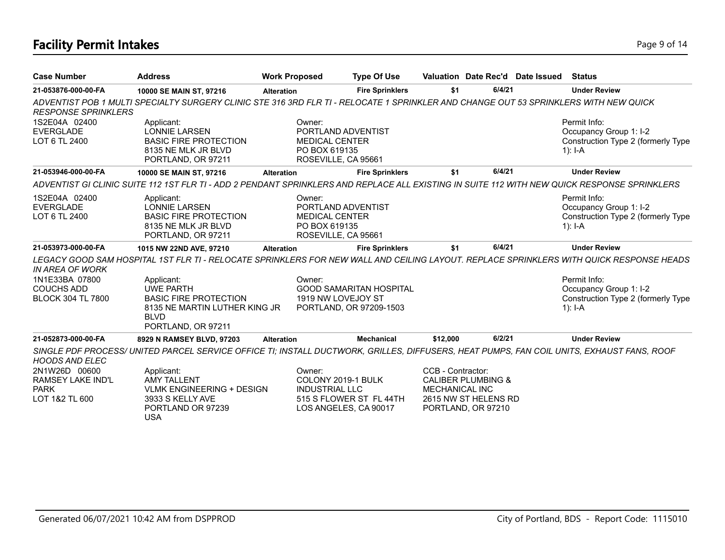## **Facility Permit Intakes** Page 9 of 14

| <b>Case Number</b>                                 | <b>Address</b>                                                                                                                               | <b>Work Proposed</b> | <b>Type Of Use</b>                                                                  |                       |                                            | Valuation Date Rec'd Date Issued | <b>Status</b>                                                                                                                                           |
|----------------------------------------------------|----------------------------------------------------------------------------------------------------------------------------------------------|----------------------|-------------------------------------------------------------------------------------|-----------------------|--------------------------------------------|----------------------------------|---------------------------------------------------------------------------------------------------------------------------------------------------------|
| 21-053876-000-00-FA                                | 10000 SE MAIN ST, 97216                                                                                                                      | <b>Alteration</b>    | <b>Fire Sprinklers</b>                                                              | \$1                   | 6/4/21                                     |                                  | <b>Under Review</b>                                                                                                                                     |
| <b>RESPONSE SPRINKLERS</b>                         | ADVENTIST POB 1 MULTI SPECIALTY SURGERY CLINIC STE 316 3RD FLR TI - RELOCATE 1 SPRINKLER AND CHANGE OUT 53 SPRINKLERS WITH NEW QUICK         |                      |                                                                                     |                       |                                            |                                  |                                                                                                                                                         |
| 1S2E04A 02400<br><b>EVERGLADE</b><br>LOT 6 TL 2400 | Applicant:<br>LONNIE LARSEN<br><b>BASIC FIRE PROTECTION</b><br>8135 NE MLK JR BLVD<br>PORTLAND, OR 97211                                     | Owner:               | PORTLAND ADVENTIST<br><b>MEDICAL CENTER</b><br>PO BOX 619135<br>ROSEVILLE, CA 95661 |                       |                                            |                                  | Permit Info:<br>Occupancy Group 1: I-2<br>Construction Type 2 (formerly Type<br>1): $I-A$                                                               |
| 21-053946-000-00-FA                                | 10000 SE MAIN ST, 97216                                                                                                                      | <b>Alteration</b>    | <b>Fire Sprinklers</b>                                                              | \$1                   | 6/4/21                                     |                                  | <b>Under Review</b>                                                                                                                                     |
|                                                    | ADVENTIST GI CLINIC SUITE 112 1ST FLR TI - ADD 2 PENDANT SPRINKLERS AND REPLACE ALL EXISTING IN SUITE 112 WITH NEW QUICK RESPONSE SPRINKLERS |                      |                                                                                     |                       |                                            |                                  |                                                                                                                                                         |
| 1S2E04A 02400<br><b>EVERGLADE</b><br>LOT 6 TL 2400 | Applicant:<br><b>LONNIE LARSEN</b><br><b>BASIC FIRE PROTECTION</b><br>8135 NE MLK JR BLVD<br>PORTLAND, OR 97211                              | Owner:               | PORTLAND ADVENTIST<br><b>MEDICAL CENTER</b><br>PO BOX 619135<br>ROSEVILLE, CA 95661 |                       |                                            |                                  | Permit Info:<br>Occupancy Group 1: I-2<br>Construction Type 2 (formerly Type<br>$1$ : I-A                                                               |
| 21-053973-000-00-FA                                | 1015 NW 22ND AVE, 97210                                                                                                                      | <b>Alteration</b>    | <b>Fire Sprinklers</b>                                                              | \$1                   | 6/4/21                                     |                                  | <b>Under Review</b>                                                                                                                                     |
| IN AREA OF WORK<br>1N1E33BA 07800                  | Applicant:                                                                                                                                   | Owner:               |                                                                                     |                       |                                            |                                  | LEGACY GOOD SAM HOSPITAL 1ST FLR TI - RELOCATE SPRINKLERS FOR NEW WALL AND CEILING LAYOUT. REPLACE SPRINKLERS WITH QUICK RESPONSE HEADS<br>Permit Info: |
| <b>COUCHS ADD</b><br><b>BLOCK 304 TL 7800</b>      | <b>UWE PARTH</b><br><b>BASIC FIRE PROTECTION</b><br>8135 NE MARTIN LUTHER KING JR<br><b>BLVD</b><br>PORTLAND, OR 97211                       |                      | <b>GOOD SAMARITAN HOSPITAL</b><br>1919 NW LOVEJOY ST<br>PORTLAND, OR 97209-1503     |                       |                                            |                                  | Occupancy Group 1: I-2<br>Construction Type 2 (formerly Type<br>1): $I-A$                                                                               |
| 21-052873-000-00-FA                                | 8929 N RAMSEY BLVD, 97203                                                                                                                    | <b>Alteration</b>    | <b>Mechanical</b>                                                                   | \$12.000              | 6/2/21                                     |                                  | <b>Under Review</b>                                                                                                                                     |
| <b>HOODS AND ELEC</b>                              | SINGLE PDF PROCESS/ UNITED PARCEL SERVICE OFFICE TI; INSTALL DUCTWORK, GRILLES, DIFFUSERS, HEAT PUMPS, FAN COIL UNITS, EXHAUST FANS, ROOF    |                      |                                                                                     |                       |                                            |                                  |                                                                                                                                                         |
| 2N1W26D 00600<br><b>RAMSEY LAKE IND'L</b>          | Applicant:<br><b>AMY TALLENT</b>                                                                                                             | Owner:               | COLONY 2019-1 BULK                                                                  | CCB - Contractor:     | <b>CALIBER PLUMBING &amp;</b>              |                                  |                                                                                                                                                         |
| <b>PARK</b><br>LOT 1&2 TL 600                      | <b>VLMK ENGINEERING + DESIGN</b><br>3933 S KELLY AVE<br>PORTLAND OR 97239<br><b>USA</b>                                                      |                      | <b>INDUSTRIAL LLC</b><br>515 S FLOWER ST FL 44TH<br>LOS ANGELES, CA 90017           | <b>MECHANICAL INC</b> | 2615 NW ST HELENS RD<br>PORTLAND, OR 97210 |                                  |                                                                                                                                                         |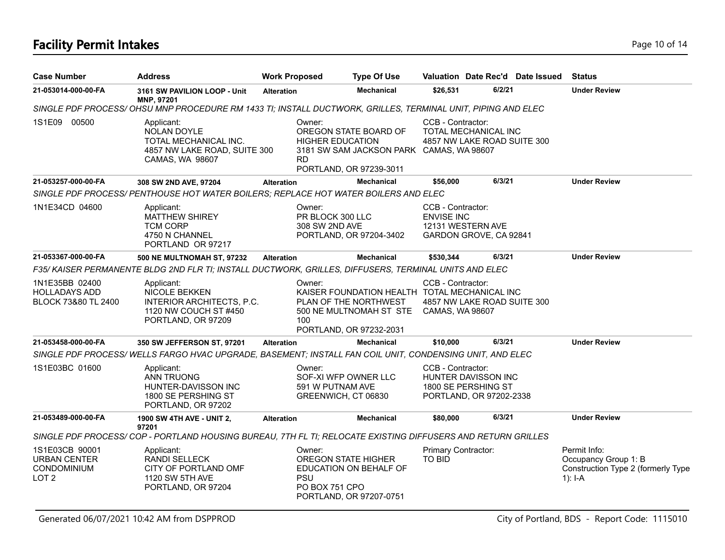## **Facility Permit Intakes** Page 10 of 14

| <b>Case Number</b>                                                       | <b>Address</b>                                                                                                       | <b>Work Proposed</b>                         | <b>Type Of Use</b>                                                                                                           |                                                             |                                                                       | Valuation Date Rec'd Date Issued | <b>Status</b>                                                                           |
|--------------------------------------------------------------------------|----------------------------------------------------------------------------------------------------------------------|----------------------------------------------|------------------------------------------------------------------------------------------------------------------------------|-------------------------------------------------------------|-----------------------------------------------------------------------|----------------------------------|-----------------------------------------------------------------------------------------|
| 21-053014-000-00-FA                                                      | 3161 SW PAVILION LOOP - Unit<br>MNP, 97201                                                                           | <b>Alteration</b>                            | <b>Mechanical</b>                                                                                                            | \$26,531                                                    | 6/2/21                                                                |                                  | <b>Under Review</b>                                                                     |
|                                                                          | SINGLE PDF PROCESS/OHSU MNP PROCEDURE RM 1433 TI; INSTALL DUCTWORK, GRILLES, TERMINAL UNIT, PIPING AND ELEC          |                                              |                                                                                                                              |                                                             |                                                                       |                                  |                                                                                         |
| 1S1E09 00500                                                             | Applicant:<br><b>NOLAN DOYLE</b><br>TOTAL MECHANICAL INC.<br>4857 NW LAKE ROAD, SUITE 300<br>CAMAS, WA 98607         | Owner:<br><b>RD</b>                          | OREGON STATE BOARD OF<br><b>HIGHER EDUCATION</b><br>3181 SW SAM JACKSON PARK CAMAS, WA 98607<br>PORTLAND, OR 97239-3011      | CCB - Contractor:                                           | TOTAL MECHANICAL INC<br>4857 NW LAKE ROAD SUITE 300                   |                                  |                                                                                         |
| 21-053257-000-00-FA                                                      | 308 SW 2ND AVE, 97204                                                                                                | <b>Alteration</b>                            | <b>Mechanical</b>                                                                                                            | \$56,000                                                    | 6/3/21                                                                |                                  | <b>Under Review</b>                                                                     |
|                                                                          | SINGLE PDF PROCESS/ PENTHOUSE HOT WATER BOILERS; REPLACE HOT WATER BOILERS AND ELEC                                  |                                              |                                                                                                                              |                                                             |                                                                       |                                  |                                                                                         |
| 1N1E34CD 04600                                                           | Applicant:<br><b>MATTHEW SHIREY</b><br><b>TCM CORP</b><br>4750 N CHANNEL<br>PORTLAND OR 97217                        | Owner:<br>PR BLOCK 300 LLC<br>308 SW 2ND AVE | PORTLAND, OR 97204-3402                                                                                                      | CCB - Contractor:<br><b>ENVISE INC</b><br>12131 WESTERN AVE | GARDON GROVE, CA 92841                                                |                                  |                                                                                         |
| 21-053367-000-00-FA                                                      | <b>500 NE MULTNOMAH ST, 97232</b>                                                                                    | <b>Alteration</b>                            | <b>Mechanical</b>                                                                                                            | \$530,344                                                   | 6/3/21                                                                |                                  | <b>Under Review</b>                                                                     |
|                                                                          | F35/KAISER PERMANENTE BLDG 2ND FLR TI; INSTALL DUCTWORK, GRILLES, DIFFUSERS, TERMINAL UNITS AND ELEC                 |                                              |                                                                                                                              |                                                             |                                                                       |                                  |                                                                                         |
| 1N1E35BB 02400<br><b>HOLLADAYS ADD</b><br>BLOCK 73&80 TL 2400            | Applicant:<br><b>NICOLE BEKKEN</b><br>INTERIOR ARCHITECTS, P.C.<br>1120 NW COUCH ST #450<br>PORTLAND, OR 97209       | Owner:<br>100                                | KAISER FOUNDATION HEALTH TOTAL MECHANICAL INC<br>PLAN OF THE NORTHWEST<br>500 NE MULTNOMAH ST STE<br>PORTLAND, OR 97232-2031 | CCB - Contractor:<br>CAMAS, WA 98607                        | 4857 NW LAKE ROAD SUITE 300                                           |                                  |                                                                                         |
| 21-053458-000-00-FA                                                      | 350 SW JEFFERSON ST, 97201                                                                                           | <b>Alteration</b>                            | <b>Mechanical</b>                                                                                                            | \$10,000                                                    | 6/3/21                                                                |                                  | <b>Under Review</b>                                                                     |
|                                                                          | SINGLE PDF PROCESS/WELLS FARGO HVAC UPGRADE, BASEMENT; INSTALL FAN COIL UNIT, CONDENSING UNIT, AND ELEC              |                                              |                                                                                                                              |                                                             |                                                                       |                                  |                                                                                         |
| 1S1E03BC 01600                                                           | Applicant:<br><b>ANN TRUONG</b><br>HUNTER-DAVISSON INC<br>1800 SE PERSHING ST<br>PORTLAND, OR 97202                  | Owner:<br>591 W PUTNAM AVE                   | SOF-XI WFP OWNER LLC<br>GREENWICH, CT 06830                                                                                  | CCB - Contractor:                                           | HUNTER DAVISSON INC<br>1800 SE PERSHING ST<br>PORTLAND, OR 97202-2338 |                                  |                                                                                         |
| 21-053489-000-00-FA                                                      | <b>1900 SW 4TH AVE - UNIT 2,</b>                                                                                     | <b>Alteration</b>                            | <b>Mechanical</b>                                                                                                            | \$80,000                                                    | 6/3/21                                                                |                                  | <b>Under Review</b>                                                                     |
|                                                                          | 97201<br>SINGLE PDF PROCESS/COP - PORTLAND HOUSING BUREAU, 7TH FL TI; RELOCATE EXISTING DIFFUSERS AND RETURN GRILLES |                                              |                                                                                                                              |                                                             |                                                                       |                                  |                                                                                         |
| 1S1E03CB 90001<br><b>URBAN CENTER</b><br>CONDOMINIUM<br>LOT <sub>2</sub> | Applicant:<br><b>RANDI SELLECK</b><br>CITY OF PORTLAND OMF<br><b>1120 SW 5TH AVE</b><br>PORTLAND, OR 97204           | Owner:<br><b>PSU</b><br>PO BOX 751 CPO       | <b>OREGON STATE HIGHER</b><br>EDUCATION ON BEHALF OF<br>PORTLAND, OR 97207-0751                                              | Primary Contractor:<br><b>TO BID</b>                        |                                                                       |                                  | Permit Info:<br>Occupancy Group 1: B<br>Construction Type 2 (formerly Type<br>$1$ : I-A |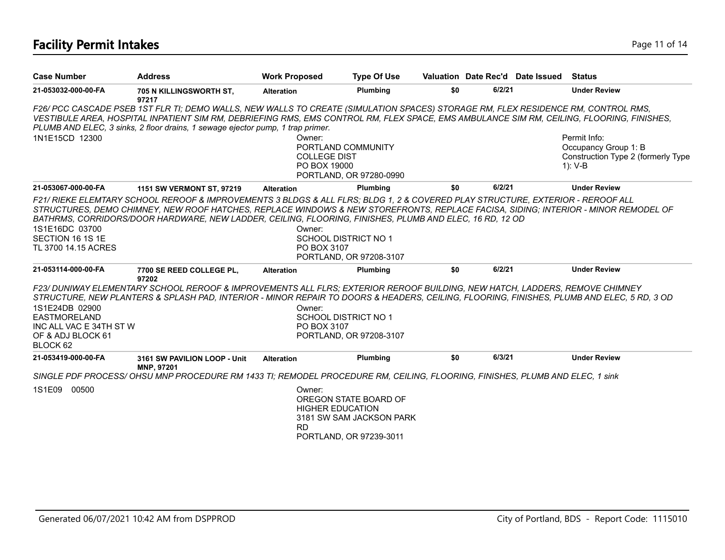## **Facility Permit Intakes** Page 11 of 14

| <b>Case Number</b>                                                                                | <b>Address</b>                                                                                                                                                                                                                                                                                                                                                                  | <b>Work Proposed</b>                          | <b>Type Of Use</b>                                                                                      |     |        | Valuation Date Rec'd Date Issued | Status                                                                                |
|---------------------------------------------------------------------------------------------------|---------------------------------------------------------------------------------------------------------------------------------------------------------------------------------------------------------------------------------------------------------------------------------------------------------------------------------------------------------------------------------|-----------------------------------------------|---------------------------------------------------------------------------------------------------------|-----|--------|----------------------------------|---------------------------------------------------------------------------------------|
| 21-053032-000-00-FA                                                                               | 705 N KILLINGSWORTH ST,<br>97217                                                                                                                                                                                                                                                                                                                                                | <b>Alteration</b>                             | Plumbing                                                                                                | \$0 | 6/2/21 |                                  | <b>Under Review</b>                                                                   |
| 1N1E15CD 12300                                                                                    | F26/ PCC CASCADE PSEB 1ST FLR TI; DEMO WALLS, NEW WALLS TO CREATE (SIMULATION SPACES) STORAGE RM, FLEX RESIDENCE RM, CONTROL RMS,<br>VESTIBULE AREA, HOSPITAL INPATIENT SIM RM, DEBRIEFING RMS, EMS CONTROL RM, FLEX SPACE, EMS AMBULANCE SIM RM, CEILING, FLOORING, FINISHES,<br>PLUMB AND ELEC, 3 sinks, 2 floor drains, 1 sewage ejector pump, 1 trap primer.                | Owner:<br><b>COLLEGE DIST</b><br>PO BOX 19000 | PORTLAND COMMUNITY<br>PORTLAND, OR 97280-0990                                                           |     |        |                                  | Permit Info:<br>Occupancy Group 1: B<br>Construction Type 2 (formerly Type<br>1): V-B |
| 21-053067-000-00-FA                                                                               | 1151 SW VERMONT ST, 97219                                                                                                                                                                                                                                                                                                                                                       | <b>Alteration</b>                             | <b>Plumbing</b>                                                                                         | \$0 | 6/2/21 |                                  | <b>Under Review</b>                                                                   |
| 1S1E16DC 03700<br>SECTION 16 1S 1E<br>TL 3700 14.15 ACRES                                         | F21/ RIEKE ELEMTARY SCHOOL REROOF & IMPROVEMENTS 3 BLDGS & ALL FLRS: BLDG 1, 2 & COVERED PLAY STRUCTURE, EXTERIOR - REROOF ALL<br>STRUCTURES, DEMO CHIMNEY, NEW ROOF HATCHES, REPLACE WINDOWS & NEW STOREFRONTS, REPLACE FACISA, SIDING; INTERIOR - MINOR REMODEL OF<br>BATHRMS, CORRIDORS/DOOR HARDWARE, NEW LADDER, CEILING, FLOORING, FINISHES, PLUMB AND ELEC, 16 RD, 12 OD | Owner:<br>PO BOX 3107                         | <b>SCHOOL DISTRICT NO 1</b><br>PORTLAND, OR 97208-3107                                                  |     |        |                                  |                                                                                       |
| 21-053114-000-00-FA                                                                               | 7700 SE REED COLLEGE PL,                                                                                                                                                                                                                                                                                                                                                        | <b>Alteration</b>                             | Plumbing                                                                                                | \$0 | 6/2/21 |                                  | <b>Under Review</b>                                                                   |
| 1S1E24DB 02900<br><b>EASTMORELAND</b><br>INC ALL VAC E 34TH ST W<br>OF & ADJ BLOCK 61<br>BLOCK 62 | 97202<br>F23/ DUNIWAY ELEMENTARY SCHOOL REROOF & IMPROVEMENTS ALL FLRS: EXTERIOR REROOF BUILDING, NEW HATCH, LADDERS, REMOVE CHIMNEY<br>STRUCTURE, NEW PLANTERS & SPLASH PAD, INTERIOR - MINOR REPAIR TO DOORS & HEADERS, CEILING, FLOORING, FINISHES, PLUMB AND ELEC, 5 RD, 3 OD                                                                                               | Owner:<br>PO BOX 3107                         | <b>SCHOOL DISTRICT NO 1</b><br>PORTLAND, OR 97208-3107                                                  |     |        |                                  |                                                                                       |
| 21-053419-000-00-FA                                                                               | 3161 SW PAVILION LOOP - Unit<br>MNP, 97201                                                                                                                                                                                                                                                                                                                                      | <b>Alteration</b>                             | Plumbing                                                                                                | \$0 | 6/3/21 |                                  | <b>Under Review</b>                                                                   |
|                                                                                                   | SINGLE PDF PROCESS/OHSU MNP PROCEDURE RM 1433 TI; REMODEL PROCEDURE RM, CEILING, FLOORING, FINISHES, PLUMB AND ELEC, 1 sink                                                                                                                                                                                                                                                     |                                               |                                                                                                         |     |        |                                  |                                                                                       |
| 1S1E09<br>00500                                                                                   |                                                                                                                                                                                                                                                                                                                                                                                 | Owner:<br>RD                                  | OREGON STATE BOARD OF<br><b>HIGHER EDUCATION</b><br>3181 SW SAM JACKSON PARK<br>PORTLAND, OR 97239-3011 |     |        |                                  |                                                                                       |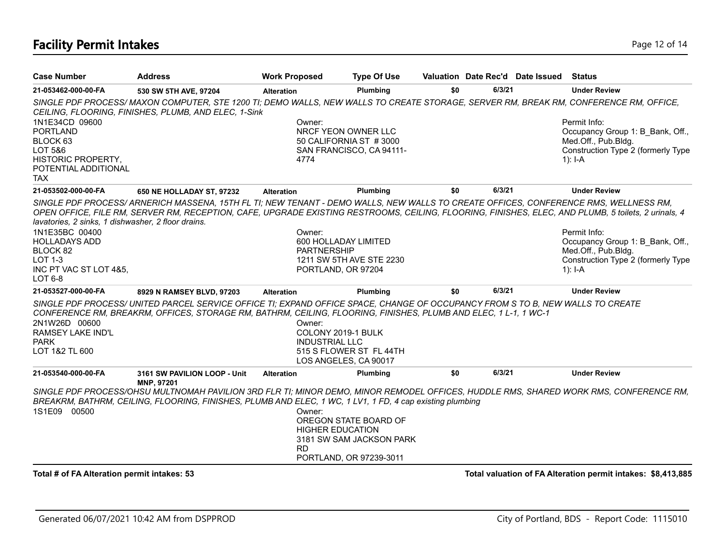## **Facility Permit Intakes** Page 12 of 14

| <b>Case Number</b>                                                   | <b>Address</b>                                                                                                                                                                                                                                                                             | <b>Work Proposed</b>                                  | <b>Type Of Use</b>                                |     |        | Valuation Date Rec'd Date Issued | <b>Status</b>                                                |
|----------------------------------------------------------------------|--------------------------------------------------------------------------------------------------------------------------------------------------------------------------------------------------------------------------------------------------------------------------------------------|-------------------------------------------------------|---------------------------------------------------|-----|--------|----------------------------------|--------------------------------------------------------------|
| 21-053462-000-00-FA                                                  | 530 SW 5TH AVE, 97204                                                                                                                                                                                                                                                                      | <b>Alteration</b>                                     | Plumbing                                          | \$0 | 6/3/21 |                                  | <b>Under Review</b>                                          |
| 1N1E34CD 09600                                                       | SINGLE PDF PROCESS/ MAXON COMPUTER, STE 1200 TI; DEMO WALLS, NEW WALLS TO CREATE STORAGE, SERVER RM, BREAK RM, CONFERENCE RM, OFFICE,<br>CEILING, FLOORING, FINISHES, PLUMB, AND ELEC, 1-Sink                                                                                              | Owner:                                                |                                                   |     |        |                                  | Permit Info:                                                 |
| <b>PORTLAND</b><br>BLOCK 63                                          |                                                                                                                                                                                                                                                                                            |                                                       | NRCF YEON OWNER LLC<br>50 CALIFORNIA ST #3000     |     |        |                                  | Occupancy Group 1: B Bank, Off.,<br>Med.Off., Pub.Bldg.      |
| LOT 5&6<br>HISTORIC PROPERTY,<br>POTENTIAL ADDITIONAL<br><b>TAX</b>  |                                                                                                                                                                                                                                                                                            | 4774                                                  | SAN FRANCISCO, CA 94111-                          |     |        |                                  | Construction Type 2 (formerly Type<br>1): $I-A$              |
| 21-053502-000-00-FA                                                  | 650 NE HOLLADAY ST, 97232                                                                                                                                                                                                                                                                  | <b>Alteration</b>                                     | Plumbing                                          | \$0 | 6/3/21 |                                  | <b>Under Review</b>                                          |
|                                                                      | SINGLE PDF PROCESS/ARNERICH MASSENA, 15TH FL TI; NEW TENANT - DEMO WALLS, NEW WALLS TO CREATE OFFICES, CONFERENCE RMS, WELLNESS RM,<br>OPEN OFFICE, FILE RM, SERVER RM, RECEPTION, CAFE, UPGRADE EXISTING RESTROOMS, CEILING, FLOORING, FINISHES, ELEC, AND PLUMB, 5 toilets, 2 urinals, 4 |                                                       |                                                   |     |        |                                  |                                                              |
| lavatories, 2 sinks, 1 dishwasher, 2 floor drains.<br>1N1E35BC 00400 |                                                                                                                                                                                                                                                                                            | Owner:                                                |                                                   |     |        |                                  | Permit Info:                                                 |
| <b>HOLLADAYS ADD</b>                                                 |                                                                                                                                                                                                                                                                                            | 600 HOLLADAY LIMITED                                  |                                                   |     |        |                                  | Occupancy Group 1: B Bank, Off.,                             |
| BLOCK 82                                                             |                                                                                                                                                                                                                                                                                            | <b>PARTNERSHIP</b>                                    |                                                   |     |        |                                  | Med.Off., Pub.Bldg.                                          |
| <b>LOT 1-3</b>                                                       |                                                                                                                                                                                                                                                                                            |                                                       | 1211 SW 5TH AVE STE 2230                          |     |        |                                  | Construction Type 2 (formerly Type                           |
| INC PT VAC ST LOT 4&5,<br><b>LOT 6-8</b>                             |                                                                                                                                                                                                                                                                                            | PORTLAND, OR 97204                                    |                                                   |     |        |                                  | 1): $I-A$                                                    |
| 21-053527-000-00-FA                                                  | 8929 N RAMSEY BLVD, 97203                                                                                                                                                                                                                                                                  | <b>Alteration</b>                                     | Plumbing                                          | \$0 | 6/3/21 |                                  | <b>Under Review</b>                                          |
| 2N1W26D 00600<br><b>RAMSEY LAKE IND'L</b><br>PARK<br>LOT 1&2 TL 600  | SINGLE PDF PROCESS/UNITED PARCEL SERVICE OFFICE TI; EXPAND OFFICE SPACE, CHANGE OF OCCUPANCY FROM S TO B, NEW WALLS TO CREATE<br>CONFERENCE RM, BREAKRM, OFFICES, STORAGE RM, BATHRM, CEILING, FLOORING, FINISHES, PLUMB AND ELEC, 1 L-1, 1 WC-1                                           | Owner:<br>COLONY 2019-1 BULK<br><b>INDUSTRIAL LLC</b> | 515 S FLOWER ST FL 44TH<br>LOS ANGELES, CA 90017  |     |        |                                  |                                                              |
| 21-053540-000-00-FA                                                  | 3161 SW PAVILION LOOP - Unit<br>MNP, 97201                                                                                                                                                                                                                                                 | <b>Alteration</b>                                     | Plumbing                                          | \$0 | 6/3/21 |                                  | <b>Under Review</b>                                          |
|                                                                      | SINGLE PDF PROCESS/OHSU MULTNOMAH PAVILION 3RD FLR TI; MINOR DEMO, MINOR REMODEL OFFICES, HUDDLE RMS, SHARED WORK RMS, CONFERENCE RM,<br>BREAKRM, BATHRM, CEILING, FLOORING, FINISHES, PLUMB AND ELEC, 1 WC, 1 LV1, 1 FD, 4 cap existing plumbing                                          |                                                       |                                                   |     |        |                                  |                                                              |
| 1S1E09 00500                                                         |                                                                                                                                                                                                                                                                                            | Owner:<br><b>HIGHER EDUCATION</b><br><b>RD</b>        | OREGON STATE BOARD OF<br>3181 SW SAM JACKSON PARK |     |        |                                  |                                                              |
|                                                                      |                                                                                                                                                                                                                                                                                            |                                                       | PORTLAND, OR 97239-3011                           |     |        |                                  |                                                              |
| Total # of FA Alteration permit intakes: 53                          |                                                                                                                                                                                                                                                                                            |                                                       |                                                   |     |        |                                  | Total valuation of FA Alteration permit intakes: \$8,413,885 |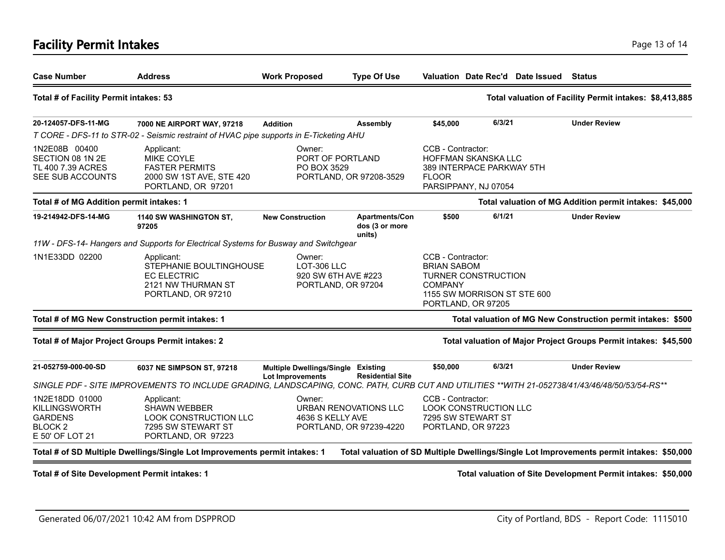### **Facility Permit Intakes** Page 13 of 14

| <b>Case Number</b>                                                                           | <b>Address</b>                                                                                                                                                             | <b>Work Proposed</b>                                                           | <b>Type Of Use</b>                         |                                                                                                                                              |        | Valuation Date Rec'd Date Issued Status |                                                                                           |
|----------------------------------------------------------------------------------------------|----------------------------------------------------------------------------------------------------------------------------------------------------------------------------|--------------------------------------------------------------------------------|--------------------------------------------|----------------------------------------------------------------------------------------------------------------------------------------------|--------|-----------------------------------------|-------------------------------------------------------------------------------------------|
| Total # of Facility Permit intakes: 53                                                       |                                                                                                                                                                            |                                                                                |                                            |                                                                                                                                              |        |                                         | Total valuation of Facility Permit intakes: \$8,413,885                                   |
| 20-124057-DFS-11-MG                                                                          | 7000 NE AIRPORT WAY, 97218                                                                                                                                                 | <b>Addition</b>                                                                | Assembly                                   | \$45,000                                                                                                                                     | 6/3/21 |                                         | <b>Under Review</b>                                                                       |
|                                                                                              | T CORE - DFS-11 to STR-02 - Seismic restraint of HVAC pipe supports in E-Ticketing AHU                                                                                     |                                                                                |                                            |                                                                                                                                              |        |                                         |                                                                                           |
| 1N2E08B 00400<br>SECTION 08 1N 2E<br>TL 400 7.39 ACRES<br>SEE SUB ACCOUNTS                   | Applicant:<br><b>MIKE COYLE</b><br><b>FASTER PERMITS</b><br>2000 SW 1ST AVE, STE 420<br>PORTLAND, OR 97201                                                                 | Owner:<br>PORT OF PORTLAND<br>PO BOX 3529<br>PORTLAND, OR 97208-3529           |                                            | CCB - Contractor:<br>HOFFMAN SKANSKA LLC<br>389 INTERPACE PARKWAY 5TH<br><b>FLOOR</b><br>PARSIPPANY, NJ 07054                                |        |                                         |                                                                                           |
| Total # of MG Addition permit intakes: 1                                                     |                                                                                                                                                                            |                                                                                |                                            |                                                                                                                                              |        |                                         | Total valuation of MG Addition permit intakes: \$45,000                                   |
| 19-214942-DFS-14-MG                                                                          | 1140 SW WASHINGTON ST,<br>97205                                                                                                                                            | <b>New Construction</b>                                                        | Apartments/Con<br>dos (3 or more<br>units) | \$500                                                                                                                                        | 6/1/21 |                                         | <b>Under Review</b>                                                                       |
|                                                                                              | 11W - DFS-14- Hangers and Supports for Electrical Systems for Busway and Switchgear                                                                                        |                                                                                |                                            |                                                                                                                                              |        |                                         |                                                                                           |
| 1N1E33DD 02200                                                                               | Applicant:<br>STEPHANIE BOULTINGHOUSE<br><b>EC ELECTRIC</b><br>2121 NW THURMAN ST<br>PORTLAND, OR 97210                                                                    | Owner:<br>LOT-306 LLC<br>920 SW 6TH AVE #223<br>PORTLAND, OR 97204             |                                            | CCB - Contractor:<br><b>BRIAN SABOM</b><br><b>TURNER CONSTRUCTION</b><br><b>COMPANY</b><br>1155 SW MORRISON ST STE 600<br>PORTLAND, OR 97205 |        |                                         |                                                                                           |
|                                                                                              | Total # of MG New Construction permit intakes: 1                                                                                                                           |                                                                                |                                            |                                                                                                                                              |        |                                         | Total valuation of MG New Construction permit intakes: \$500                              |
|                                                                                              | Total # of Major Project Groups Permit intakes: 2                                                                                                                          |                                                                                |                                            |                                                                                                                                              |        |                                         | Total valuation of Major Project Groups Permit intakes: \$45,500                          |
| 21-052759-000-00-SD                                                                          | 6037 NE SIMPSON ST, 97218<br>SINGLE PDF - SITE IMPROVEMENTS TO INCLUDE GRADING, LANDSCAPING, CONC. PATH, CURB CUT AND UTILITIES **WITH 21-052738/41/43/46/48/50/53/54-RS** | Multiple Dwellings/Single Existing<br><b>Lot Improvements</b>                  | <b>Residential Site</b>                    | \$50,000                                                                                                                                     | 6/3/21 |                                         | <b>Under Review</b>                                                                       |
| 1N2E18DD 01000<br><b>KILLINGSWORTH</b><br><b>GARDENS</b><br><b>BLOCK2</b><br>E 50' OF LOT 21 | Applicant:<br><b>SHAWN WEBBER</b><br><b>LOOK CONSTRUCTION LLC</b><br>7295 SW STEWART ST<br>PORTLAND, OR 97223                                                              | Owner:<br>URBAN RENOVATIONS LLC<br>4636 S KELLY AVE<br>PORTLAND, OR 97239-4220 |                                            | CCB - Contractor:<br><b>LOOK CONSTRUCTION LLC</b><br>7295 SW STEWART ST<br>PORTLAND, OR 97223                                                |        |                                         |                                                                                           |
|                                                                                              | Total # of SD Multiple Dwellings/Single Lot Improvements permit intakes: 1                                                                                                 |                                                                                |                                            |                                                                                                                                              |        |                                         | Total valuation of SD Multiple Dwellings/Single Lot Improvements permit intakes: \$50,000 |
| Total # of Site Development Permit intakes: 1                                                |                                                                                                                                                                            |                                                                                |                                            |                                                                                                                                              |        |                                         | Total valuation of Site Development Permit intakes: \$50,000                              |